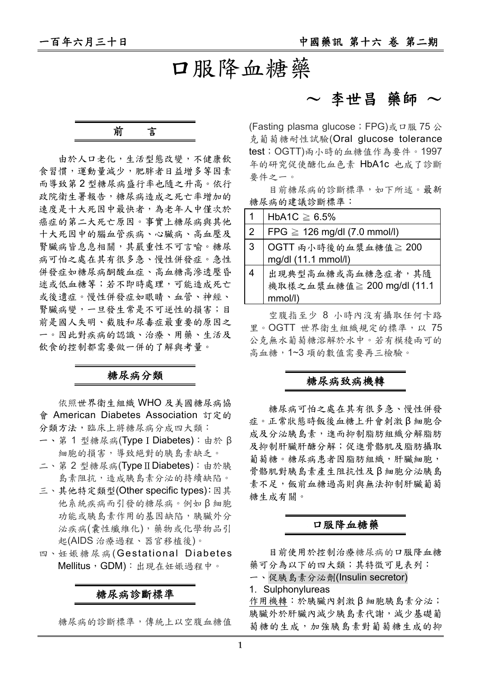## 口服降血糖藥

前言

由於人口老化,生活型態改變,不健康飲 食習慣,運動量減少,肥胖者日益增多等因素 而導致第 2 型糖尿病盛行率也隨之升高。依行 政院衛生署報告,糖尿病造成之死亡率增加的 速度是十大死因中最快者,為老年人中僅次於 癌症的第二大死亡原因。事實上糖尿病與其他 十大死因中的腦血管疾病、心臟病、高血壓及 腎臟病皆息息相關,其嚴重性不可言喻。糖尿 病可怕之處在其有很多急、慢性併發症。急性 併發症如糖尿病酮酸血症、高血糖高滲透壓昏 迷或低血糖等;若不即時處理,可能造成死亡 或後遺症。慢性併發症如眼睛、血管、神經、 腎臟病變,一旦發生常是不可逆性的損害;目 前是國人失明、截肢和尿毒症最重要的原因之 一。因此對疾病的認識、治療、用藥、生活及 飲食的控制都需要做一併的了解與考量。

### 糖尿病分類

依照世界衛生組織 WHO 及美國糖尿病協 會 American Diabetes Association 訂定的 分類方法,臨床上將糖尿病分成四大類:

- 一、第 1 型糖尿病(TypeⅠDiabetes):由於 β 細胞的損害,導致絕對的胰島素缺乏。
- 二、第2型糖尿病(TypeⅡDiabetes):由於胰 島素阻抗,造成胰島素分泌的持續缺陷。
- 三、其他特定類型(Other specific types):因其 他系統疾病而引發的糖尿病。例如 β 細胞 功能或胰島素作用的基因缺陷,胰臟外分 泌疾病(囊性纖維化),藥物或化學物品引 起(AIDS 治療過程、器官移植後)。
- 四、妊娠糖尿病(Gestational Diabetes Mellitus,GDM):出現在妊娠過程中。

糖尿病診斷標準

糖尿病的診斷標準,傳統上以空腹血糖值

## $\sim$  李世昌 藥師  $\sim$

(Fasting plasma glucose; FPG)或口服 75 公 克葡萄糖耐性試驗(Oral glucose tolerance test;OGTT)兩小時的血糖值作為要件。1997 年的研究促使醣化血色素 HbA1c 也成了診斷 要件之一。

目前糖尿病的診斷標準,如下所述。最新 糖尿病的建議診斷標準:

| 1              | HbA1C $\geq 6.5\%$                |
|----------------|-----------------------------------|
| $\overline{2}$ | FPG $\geq$ 126 mg/dl (7.0 mmol/l) |
| 3              | OGTT 兩小時後的血漿血糖值≧ 200              |
|                | mg/dl (11.1 mmol/l)               |
|                | 出現典型高血糖或高血糖急症者,其隨                 |
|                | 機取樣之血漿血糖值≧ 200 mg/dl (11.1        |
|                | mmol/l)                           |

空腹指至少 8 小時內沒有攝取任何卡路 里。OGTT 世界衛生組織規定的標準,以 75 公克無水葡萄糖溶解於水中。若有模稜兩可的 高血糖,1~3 項的數值需要再三檢驗。

#### 糖尿病致病機轉

糖尿病可怕之處在其有很多急、慢性併發 症。正常狀態時飯後血糖上升會刺激 β 細胞合 成及分泌胰島素,進而抑制脂肪組織分解脂肪 及抑制肝臟肝醣分解;促進骨骼肌及脂肪攝取 葡萄糖。糖尿病患者因脂肪組織,肝臟細胞, 骨骼肌對胰島素產生阻抗性及 β 細胞分泌胰島 素不足,飯前血糖過高則與無法抑制肝臟葡萄 糖生成有關。

#### 口服降血糖藥

目前使用於控制治療糖尿病的口服降血糖 藥可分為以下的四大類;其特徵可見表列:

- 一、促胰島素分泌劑(Insulin secretor)
- 1. Sulphonylureas

作用機轉:於胰臟內刺激β細胞胰島素分泌; 胰臟外於肝臟內減少胰島素代謝,減少基礎葡 萄糖的生成,加強胰島素對葡萄糖生成的抑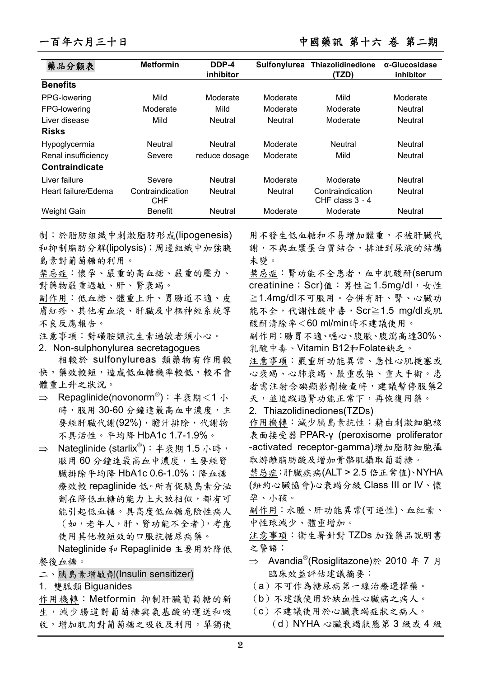| 藥品分類表               | <b>Metformin</b>               | DDP-4<br>inhibitor | Sulfonylurea   | Thiazolidinedione<br>(TZD)                | $\alpha$ -Glucosidase<br>inhibitor |
|---------------------|--------------------------------|--------------------|----------------|-------------------------------------------|------------------------------------|
| <b>Benefits</b>     |                                |                    |                |                                           |                                    |
| PPG-lowering        | Mild                           | Moderate           | Moderate       | Mild                                      | Moderate                           |
| FPG-lowering        | Moderate                       | Mild               | Moderate       | Moderate                                  | Neutral                            |
| Liver disease       | Mild                           | <b>Neutral</b>     | <b>Neutral</b> | Moderate                                  | <b>Neutral</b>                     |
| <b>Risks</b>        |                                |                    |                |                                           |                                    |
| Hypoglycermia       | <b>Neutral</b>                 | Neutral            | Moderate       | Neutral                                   | <b>Neutral</b>                     |
| Renal insufficiency | Severe                         | reduce dosage      | Moderate       | Mild                                      | <b>Neutral</b>                     |
| Contraindicate      |                                |                    |                |                                           |                                    |
| Liver failure       | Severe                         | <b>Neutral</b>     | Moderate       | Moderate                                  | <b>Neutral</b>                     |
| Heart failure/Edema | Contraindication<br><b>CHF</b> | <b>Neutral</b>     | <b>Neutral</b> | Contraindication<br>CHF class $3 \cdot 4$ | <b>Neutral</b>                     |
| Weight Gain         | <b>Benefit</b>                 | <b>Neutral</b>     | Moderate       | Moderate                                  | <b>Neutral</b>                     |

制;於脂肪組織中刺激脂肪形成(lipogenesis) 和抑制脂肪分解(lipolysis);周邊組織中加強胰 島素對葡萄糖的利用。

禁忌症:懷孕、嚴重的高血糖、嚴重的壓力、 對藥物嚴重過敏、肝、腎衰竭。

副作用:低血糖、體重上升、胃腸道不適、皮 膚紅疹、其他有血液、肝臟及中樞神經系統等 不良反應報告。

注意事項:對磺胺類抗生素過敏者須小心。

2. Non-sulphonylurea secretagogues

相較於 sulfonylureas 類藥物有作用較 快,藥效較短,造成低血糖機率較低,較不會 體重上升之狀況。

- $\Rightarrow$  Repaglinide(novonorm®): 半衰期<1 小 時,服用 30-60 分鐘達最高血中濃度,主 要經肝臟代謝(92%),膽汁排除,代謝物 不具活性。平均降 HbA1c 1.7-1.9%。
- $\Rightarrow$  Nateglinide (starlix®): 半衰期 1.5 小時, 服用 60 分鐘達最高血中濃度,主要經腎 臟排除平均降 HbA1c 0.6-1.0%;降血糖 療效較 repaglinide 低。所有促胰島素分泌 劑在降低血糖的能力上大致相似,都有可 能引起低血糖。具高度低血糖危險性病人 (如,老年人,肝、腎功能不全者),考慮 使用其他較短效的口服抗糖尿病藥。

Nateglinide 和 Repaglinide 主要用於降低 餐後血糖。

- 二、胰島素增敏劑(Insulin sensitizer)
- 1. 雙胍類 Biguanides

作用機轉:Metformin 抑制肝臟葡萄糖的新 生,減少腸道對葡萄糖與氨基酸的運送和吸 收,增加肌肉對葡萄糖之吸收及利用。單獨使

用不發生低血糖和不易增加體重,不被肝臟代 謝,不與血漿蛋白質結合,排泄到尿液的結構 未變。

禁忌症:腎功能不全患者,血中肌酸酐(serum creatinine; Scr)值: 男性≧1.5mg/dl, 女性 ≧1.4mg/dl不可服用。合併有肝、腎、心臟功 能不全,代謝性酸中毒,Scr≧1.5 mg/dl或肌 酸酐清除率<60 ml/min時不建議使用。

副作用:腸胃不適、噁心、腹脹、腹瀉高達30%、 乳酸中毒、Vitamin B12和Folate缺乏。

注意事項:嚴重肝功能異常、急性心肌梗塞或 心衰竭、心肺衰竭、嚴重感染、重大手術。患 者需注射含碘顯影劑檢查時,建議暫停服藥2 天,並追蹤過腎功能正常下,再恢復用藥。

2. Thiazolidinediones(TZDs)

作用機轉:減少胰島素抗性;藉由刺激細胞核 表面接受器 PPAR-γ (peroxisome proliferator -activated receptor-gamma)增加脂肪細胞攝 取游離脂肪酸及增加骨骼肌攝取葡萄糖。

禁忌症:肝臟疾病(ALT > 2.5 倍正常值)、NYHA (紐約心臟協會)心衰竭分級 Class III or IV、懷 孕、小孩。

副作用:水腫、肝功能異常(可逆性)、血紅素、 中性球減少、體重增加。

注意事項:衛生署針對 TZDs 加強藥品說明書 之警語;

- $\Rightarrow$  Avandia<sup>®</sup>(Rosiglitazone)於 2010 年 7 月 臨床效益評估建議摘要:
- (a)不可作為糖尿病第一線治療選擇藥。
- (b)不建議使用於缺血性心臟病之病人。
- (c)不建議使用於心臟衰竭症狀之病人。 (d)NYHA 心臟衰竭狀態第 3 級或 4 級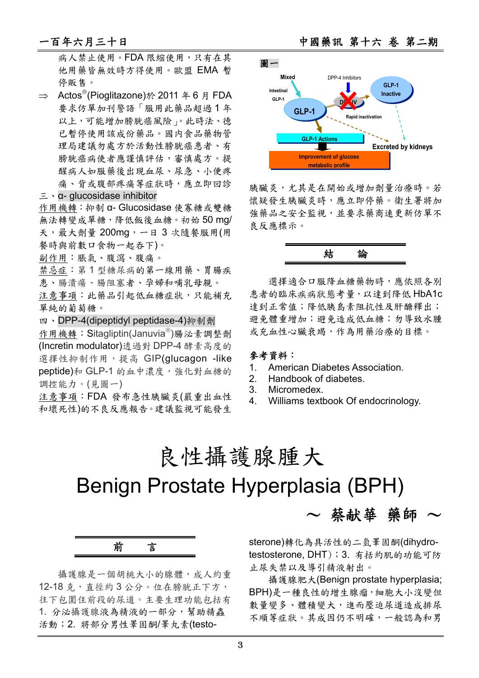病人禁止使用。FDA 限縮使用,只有在其 他用藥皆無效時方得使用。歐盟 EMA 暫 停販售。

 $\Rightarrow$  Actos<sup>®</sup>(Pioglitazone)於 2011 年 6 月 FDA 要求仿單加刊警語「服用此藥品超過 1 年 以上,可能增加膀胱癌風險」。此時法、德 已暫停使用該成份藥品。國内食品藥物管 理局建議勿處方於活動性膀胱癌患者、有 **膀胱癌病使者應謹慎評估,審慎處方。提** 醒病人如服藥後出現血尿、尿急、小便疼 痛、背或腹部疼痛等症狀時,應立即回診

#### 三、α- glucosidase inhibitor

作用機轉:抑制 α- Glucosidase 使寡糖或雙糖 無法轉變成單糖,降低飯後血糖。初始 50 mg/ 天,最大劑量 200mg,一日 3 次隨餐服用(用 餐時與前數口食物一起吞下)。

副作用:脹氣、腹瀉、腹痛。

禁忌症:第 1 型糖尿病的第一線用藥、胃腸疾 患、腸潰瘍、腸阻塞者、孕婦和哺乳母親。

注意事項:此藥品引起低血糖症狀,只能補充 單純的葡萄糖。

四、DPP-4(dipeptidyl peptidase-4)抑制劑

作用機轉: Sitagliptin(Januvia®)腸泌素調整劑 (Incretin modulator)透過對 DPP-4 酵素高度的 選擇性抑制作用,提高 GIP(alucagon -like peptide)和 GLP-1 的血中濃度,強化對血糖的 調控能力。(見圖一)

注意事項:FDA 發布急性胰臟炎(嚴重出血性 和壞死性)的不良反應報告。建議監視可能發生

一百年六月三十日 有一 不可 不可 医神经 中國藥訊 第十六 卷 第二期



胰臟炎,尤其是在開始或增加劑量治療時。若 懷疑發生胰臟炎時,應立即停藥。衛生署將加 強藥品之安全監視,並要求藥商速更新仿單不 良反應標示。



選擇適合口服降血糖藥物時,應依照各別 患者的臨床疾病狀態考量,以達到降低 HbA1c 達到正常值;降低胰島素阻抗性及肝醣釋出; 避免體重增加;避免造成低血糖;勿導致水腫 或充血性心臟衰竭,作為用藥治療的目標。

#### 參考資料:

- 1. American Diabetes Association.
- 2. Handbook of diabetes.
- 3. Micromedex.
- 4. Williams textbook Of endocrinology.

# 良性攝護腺腫大

# Benign Prostate Hyperplasia (BPH)

前言

攝護腺是一個胡桃大小的腺體,成人約重 12-18 克, 直徑約3公分。位在膀胱正下方, 往下包圍住前段的尿道。主要生理功能包括有 1. 分泌攝護腺液為精液的一部分,幫助精蟲 活動; 2. 將部分男性睪固酮/睪丸素(testosterone)轉化為具活性的二氫睪固酮(dihydrotestosterone, DHT);3. 有括約肌的功能可防 止尿失禁以及導引精液射出。

 $\sim$  蔡献華 藥師  $\sim$ 

攝護腺肥大(Benign prostate hyperplasia; BPH)是一種良性的增生腺瘤,細胞大小沒變但 數量變多、體積變大,進而壓迫尿道造成排尿 不順等症狀。其成因仍不明確,一般認為和男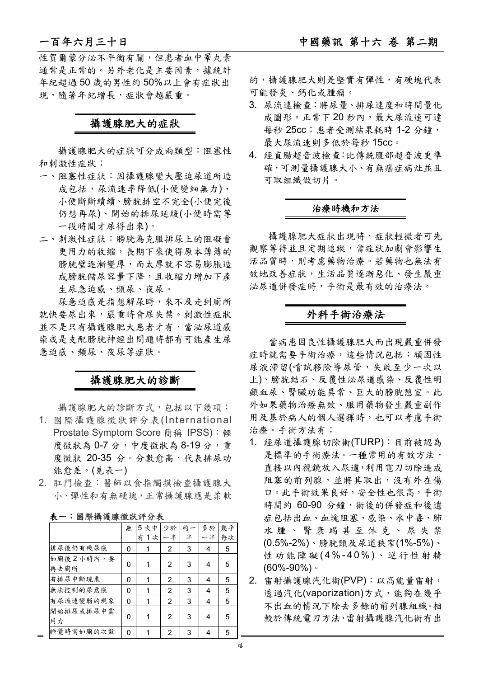性賀爾蒙分泌不平衡有關,但患者血中睪丸素 通常是正常的。另外老化是主要因素,據統計 年紀超過 50 歲的男性約 50%以上會有症狀出 現,隨著年紀增長,症狀會越嚴重。

### 攝護腺肥大的症狀

攝護腺肥大的症狀可分成兩類型:阻塞性 和刺激性症狀;

- 一、阻塞性症狀:因攝護腺變大壓迫尿道所造 成包括,尿流速率降低(小便變細無力)、 小便斷斷續續、膀胱排空不完全(小便完後 仍想再尿)、開始的排尿延緩(小便時需等 一段時間才尿得出來)。
- 二、刺激性症狀:膀胱為克服排尿上的阻礙會 更用力的收縮,長期下來使得原本薄薄的 膀胱璧逐漸變厚,而太厚就不容易膨脹造 成膀胱儲尿容量下降,且收縮力增加下產 生尿急迫感、頻尿、夜尿。

尿急迫感是指想解尿時,來不及走到廁所 就快要尿出來,嚴重時會尿失禁。刺激性症狀 並不是只有攝護腺肥大患者才有,當泌尿道感 染或是支配膀胱神經出問題時都有可能產生尿 急迫感、頻尿、夜尿等症狀。

### 攝護腺肥大的診斷

攝護腺肥大的診斷方式,包括以下幾項:

- 1. 國際攝護腺徵狀評分表(International Prostate Symptom Score 簡稱 IPSS): 輕 度徵狀為 0-7分,中度徵狀為 8-19分,重 度徵狀 20-35 分。分數愈高,代表排尿功 能愈差。(見表一)
- 2. 肛門檢查:醫師以食指觸摸檢查攝護腺大 小、彈性和有無硬塊,正常攝護腺應是柔軟

|                      | 無 | 5次中     | 少於  | 約 | 多於 | 幾乎 |
|----------------------|---|---------|-----|---|----|----|
|                      |   | 1次<br>有 | · 半 | 半 | 半  | 每次 |
| 排尿後仍有殘尿感             | 0 |         | 2   | 3 | 4  | 5  |
| 如廁後 2 小時內, 要<br>再去廁所 | ŋ |         | 2   | 3 | 4  | 5  |
| 有排尿中斷現象              | O | 1       | 2   | 3 | 4  | 5  |
| 無法控制的尿意感             | 0 |         | 2   | 3 | 4  | 5  |
| 有尿流速變弱的現象            | 0 | 1       | 2   | 3 | 4  | 5  |
| 開始排尿或排尿中需<br>用力      | ŋ |         | 2   | 3 | 4  | 5  |
| 睡覺時需如廁的次數            | O |         | 2   | 3 |    | 5  |

#### 表一:國際攝護腺徵狀評分表

的,攝護腺肥大則是堅實有彈性,有硬塊代表 可能發炎、鈣化或腫瘤。

- 3. 尿流速檢查:將尿量、排尿速度和時間量化 成圖形。正常下20秒內,最大尿流速可達 每秒 25cc;患者受測結果耗時 1-2 分鐘, 最大尿流速則多低於每秒 15cc。
- 4. 經直腸超音波檢查:比傳統腹部超音波更準 確,可測量攝護腺大小、有無癌症病灶並且 可取組織做切片。

#### 治療時機和方法

攝護腺肥大症狀出現時,症狀輕微者可先 觀察等待並且定期追蹤,當症狀加劇會影響生 活品質時,則考慮藥物治療。若藥物也無法有 效地改善症狀,生活品質逐漸惡化、發生嚴重 泌尿道併發症時,手術是最有效的治療法。

### 外科手術治療法

當病患因良性攝護腺肥大而出現嚴重併發 症時就需要手術治療,這些情況包括:頑固性 尿液滯留(嚐試移除導尿管,失敗至少一次以 上)、膀胱結石、反覆性泌尿道感染、反覆性明 顯血尿、腎臟功能異常、巨大的膀胱憩室。此 外如果藥物治療無效、服用藥物發生嚴重副作 用及基於病人的個人選擇時,也可以考慮手術 治療。手術方法有;

- 1. 經尿道攝護腺切除術(TURP):目前被認為 是標準的手術療法。一種常用的有效方法, 直接以內視鏡放入尿道,利用電刀切除造成 阻塞的前列腺,並將其取出,沒有外在傷 口。此手術效果良好,安全性也很高,手術 時間約 60-90 分鐘,術後的併發症和後遺 症包括出血、血塊阻塞、感染、水中毒、肺 水腫、腎衰竭甚至休克、尿失禁 (0.5%-2%)、膀胱頸及尿道狹窄(1%-5%)、 性功能障礙 (4%-40%) 、逆行性射精 (60%-90%)。
- 2. 雷射攝護腺汽化術(PVP):以高能量雷射, 透過汽化(vaporization)方式,能夠在幾乎 不出血的情況下除去多餘的前列腺組織。相 較於傳統電刀方法,雷射攝護腺汽化術有出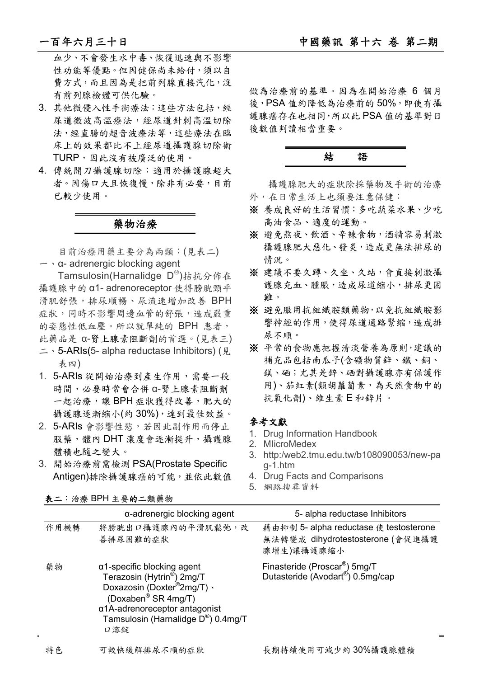血少、不會發生水中毒、恢復迅速與不影響 性功能等優點。但因健保尚未給付,須以自 費方式,而且因為是把前列腺直接汽化,沒 有前列腺檢體可供化驗。

- 3. 其他微侵入性手術療法:這些方法包括,經 尿道微波高溫療法,經尿道針刺高溫切除 法,經直腸的超音波療法等,這些療法在臨 床上的效果都比不上經尿道攝護腺切除術 TURP,因此沒有被廣泛的使用。
- 4. 傳統開刀攝護腺切除:適用於攝護腺超大 者。因傷口大且恢復慢,除非有必要,目前 已較少使用。

### 藥物治療

目前治療用藥主要分為兩類:(見表二) 一、α- adrenergic blocking agent

Tamsulosin(Harnalidge D®)拮抗分佈在 攝護腺中的 α1- adrenoreceptor 使得膀胱頸平 滑肌舒張,排尿順暢、尿流速增加改善 BPH 症狀,同時不影響周邊血管的舒張,造成嚴重 的姿態性低血壓。所以就單純的 BPH 患者, 此藥品是 α-腎上腺素阻斷劑的首選。(見表三) 二、5-ARIs(5- alpha reductase Inhibitors) (見

- 表四)
- 1. 5-ARIs 從開始治療到產生作用,需要一段 時間,必要時常會合併 α-腎上腺素阻斷劑 一起治療,讓 BPH 症狀獲得改善,肥大的 攝護腺逐漸縮小(約 30%),達到最佳效益。
- 2. 5-ARIs 會影響性慾,若因此副作用而停止 服藥,體內 DHT 濃度會逐漸提升,攝護腺 體積也隨之變大。
- 3. 開始治療前需檢測 PSA(Prostate Specific Antigen)排除攝護腺癌的可能,並依此數值

※ 養成良好的生活習慣:多吃蔬菜水果、少吃 高油食品、適度的運動。

※ 避免熬夜、飲酒、辛辣食物,酒精容易刺激 攝護腺肥大惡化、發炎,造成更無法排尿的 情況。

做為治療前的基準。因為在開始治療 6 個月 後,PSA 值約降低為治療前的 50%,即使有攝 護腺癌存在也相同,所以此 PSA 值的基準對日

結語

外,在日常生活上也須要注意保健:

攝護腺肥大的症狀除採藥物及手術的治療

後數值判讀相當重要。

- ※ 建議不要久蹲、久坐、久站,會直接刺激攝 護腺充血、腫脹,造成尿道縮小,排尿更困 難。
- ※ 避免服用抗组織胺類藥物,以免抗組織胺影 響神經的作用,使得尿道通路緊縮,造成排 尿不順。
- ※ 平常的食物應把握清淡營養為原則,建議的 補充品包括南瓜子(含礦物質鋅、鐵、銅、 鎂、硒;尤其是鋅、硒對攝護腺亦有保護作 用)、茄紅素(類胡蘿蔔素,為天然食物中的 抗氧化劑)、維生素 E 和鋅片。

### 參考文獻

- 1. Drug Information Handbook
- 2. MIicroMedex
- 3. http:/web2.tmu.edu.tw/b108090053/new-pa g-1.htm
- 4. Drug Facts and Comparisons
- 5. 網路搜尋資料

|      | $\alpha$ -adrenergic blocking agent                                                                                                                                                                                                            | 5- alpha reductase Inhibitors                                                            |
|------|------------------------------------------------------------------------------------------------------------------------------------------------------------------------------------------------------------------------------------------------|------------------------------------------------------------------------------------------|
| 作用機轉 | 將膀胱出口攝護腺內的平滑肌鬆弛,改<br>善排尿困難的症狀                                                                                                                                                                                                                  | 藉由抑制 5- alpha reductase 使 testosterone<br>無法轉變成 dihydrotestosterone (會促進攝護<br>腺增生)讓攝護腺縮小 |
| 藥物   | $\alpha$ 1-specific blocking agent<br>Terazosin (Hytrin <sup>®</sup> ) 2mg/T<br>Doxazosin (Doxter <sup>®</sup> 2mg/T) $\cdot$<br>(Doxaben <sup>®</sup> SR 4mg/T)<br>α1A-adrenoreceptor antagonist<br>Tamsulosin (Harnalidge D®) 0.4mg/T<br>口溶錠 | Finasteride (Proscar <sup>®</sup> ) 5mg/T<br>Dutasteride (Avodart®) 0.5mg/cap            |
| 特色   | 可較快緩解排尿不順的症狀                                                                                                                                                                                                                                   | 長期持續使用可減少約30%攝護腺體積                                                                       |

表二:治療 BPH 主要的二類藥物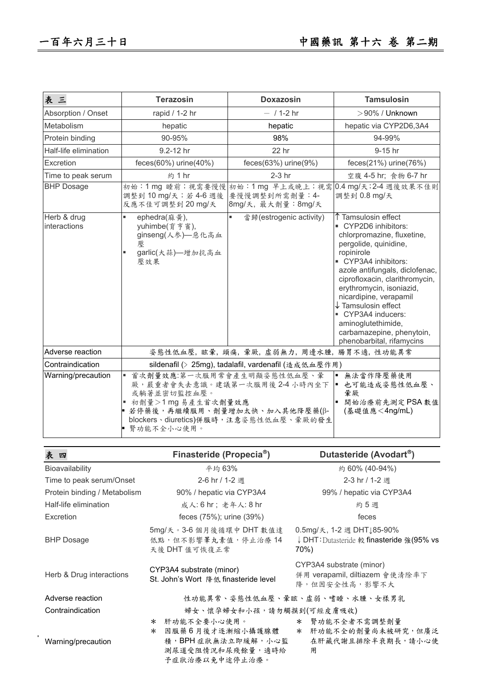$\mathcal{A}$ 

| 表三                          | <b>Terazosin</b>                                                                                                                                                                                                                                                     | <b>Doxazosin</b>                                        | <b>Tamsulosin</b>                                                                                                                                                                                                                                                                                                                                                                                    |  |
|-----------------------------|----------------------------------------------------------------------------------------------------------------------------------------------------------------------------------------------------------------------------------------------------------------------|---------------------------------------------------------|------------------------------------------------------------------------------------------------------------------------------------------------------------------------------------------------------------------------------------------------------------------------------------------------------------------------------------------------------------------------------------------------------|--|
| Absorption / Onset          | rapid / 1-2 hr                                                                                                                                                                                                                                                       | $-$ / 1-2 hr                                            | $>$ 90% / Unknown                                                                                                                                                                                                                                                                                                                                                                                    |  |
| Metabolism                  | hepatic                                                                                                                                                                                                                                                              | hepatic                                                 | hepatic via CYP2D6,3A4                                                                                                                                                                                                                                                                                                                                                                               |  |
| Protein binding             | 90-95%                                                                                                                                                                                                                                                               | 98%                                                     | 94-99%                                                                                                                                                                                                                                                                                                                                                                                               |  |
| Half-life elimination       | 9.2-12 hr                                                                                                                                                                                                                                                            | 22 hr                                                   | $9-15$ hr                                                                                                                                                                                                                                                                                                                                                                                            |  |
| Excretion                   | feces(60%) urine(40%)                                                                                                                                                                                                                                                | feces $(63\%)$ urine $(9\%)$                            | feces $(21\%)$ urine $(76\%)$                                                                                                                                                                                                                                                                                                                                                                        |  |
| Time to peak serum          | <b>約1hr</b>                                                                                                                                                                                                                                                          | $2-3$ hr                                                | 空腹 4-5 hr; 食物 6-7 hr                                                                                                                                                                                                                                                                                                                                                                                 |  |
| <b>BHP Dosage</b>           | 初始:1mg 睡前; 視需要慢慢<br>調整到 10 mg/天;若 4-6 週後<br>反應不佳可調整到 20 mg/天                                                                                                                                                                                                         | 初始:1mg 早上或晚上; 視需<br>要慢慢調整到所需劑量:4-<br>8mg/天, 最大劑量: 8mg/天 | 0.4 mg/天; 2-4 週後效果不佳則<br>調整到 0.8 mg/天                                                                                                                                                                                                                                                                                                                                                                |  |
| Herb & drug<br>interactions | $\blacksquare$<br>ephedra(麻黄),<br>yuhimbe(育亨賓),<br>ginseng(人参)—惡化高血<br>厭<br>garlic(大蒜)-增加抗高血<br>٠<br>壓效果                                                                                                                                                             | 當歸(estrogenic activity)                                 | ↑ Tamsulosin effect<br>CYP2D6 inhibitors:<br>chlorpromazine, fluxetine,<br>pergolide, quinidine,<br>ropinirole<br>CYP3A4 inhibitors:<br>azole antifungals, diclofenac,<br>ciprofloxacin, clarithromycin,<br>erythromycin, isoniazid,<br>nicardipine, verapamil<br>$\downarrow$ Tamsulosin effect<br>CYP3A4 inducers:<br>aminoglutethimide,<br>carbamazepine, phenytoin,<br>phenobarbital, rifamycins |  |
| Adverse reaction            | 姿態性低血壓,眩暈,頭痛,暈厥,虛弱無力,周邊水腫,腸胃不適,性功能異常                                                                                                                                                                                                                                 |                                                         |                                                                                                                                                                                                                                                                                                                                                                                                      |  |
| Contraindication            | sildenafil (> 25mg), tadalafil, vardenafil (造成低血壓作用)                                                                                                                                                                                                                 |                                                         |                                                                                                                                                                                                                                                                                                                                                                                                      |  |
| Warning/precaution          | 首次劑量效應:第一次服用常會產生明顯姿態性低血壓、暈<br>無法當作降壓藥使用<br>×,<br>厥,嚴重者會失去意識。建議第一次服用後2-4小時內坐下<br>也可能造成姿態性低血壓、<br>或躺著並密切監控血壓。<br>暈厥<br>■ 初劑量>1mg 易產生首次劑量效應<br>開始治療前先測定PSA數值<br> ■ 若停藥後,再繼續服用、劑量增加太快、加入其他降壓藥(β-<br>(基礎值應<4ng/mL)<br>blockers、diuretics)併服時,注意姿態性低血壓、暈厥的發生<br>腎功能不全小心使用。 |                                                         |                                                                                                                                                                                                                                                                                                                                                                                                      |  |

| 表四                           | Finasteride (Propecia <sup>®</sup> )                             | Dutasteride (Avodart®)                                                             |  |  |
|------------------------------|------------------------------------------------------------------|------------------------------------------------------------------------------------|--|--|
| Bioavailability              | 平均 63%                                                           | 約 60% (40-94%)                                                                     |  |  |
| Time to peak serum/Onset     | 2-6 hr / 1-2 週                                                   | 2-3 hr / 1-2 週                                                                     |  |  |
| Protein binding / Metabolism | 90% / hepatic via CYP3A4                                         | 99% / hepatic via CYP3A4                                                           |  |  |
| Half-life elimination        | 成人: 6 hr; 老年人: 8 hr                                              | 約5週                                                                                |  |  |
| Excretion                    | feces (75%); urine (39%)                                         | feces                                                                              |  |  |
| <b>BHP</b> Dosage            | 5mg/天。3-6 個月後循環中 DHT 數值達<br>低點,但不影響睪丸素值,停止治療14<br>天後 DHT 值可恢復正常  | 0.5mg/天, 1-2 週 DHT $185-90\%$<br>↓ DHT: Dutasteride 較 finasteride 強(95% vs<br>70%) |  |  |
| Herb & Drug interactions     | CYP3A4 substrate (minor)<br>St. John's Wort 降低 finasteride level | CYP3A4 substrate (minor)<br>併用 verapamil, diltiazem 會使清除率下<br>降,但因安全性高,影響不大        |  |  |
| Adverse reaction             |                                                                  | 性功能異常、姿態性低血壓、暈眩、虛弱、嗜睡、水腫、女樣男乳                                                      |  |  |
| Contraindication             | 婦女、懷孕婦女和小孩,請勿觸摸到(可經皮膚吸收)                                         |                                                                                    |  |  |
|                              | * 肝功能不全要小心使用。                                                    | * 肾功能不全者不需调整劑量                                                                     |  |  |
|                              | 因服藥6月後才逐漸縮小攝護腺體<br>$\ast$                                        | * 肝功能不全的劑量尚未被研究,但廣泛                                                                |  |  |
| Warning/precaution           | 積,BPH症狀無法立即緩解,小心監                                                | 在肝藏代謝且排除半衰期長,請小心使                                                                  |  |  |
|                              | 測尿道受阻情況和尿殘餘量,適時給                                                 | 用                                                                                  |  |  |
|                              | 予症狀治療以免中途停止治療。                                                   |                                                                                    |  |  |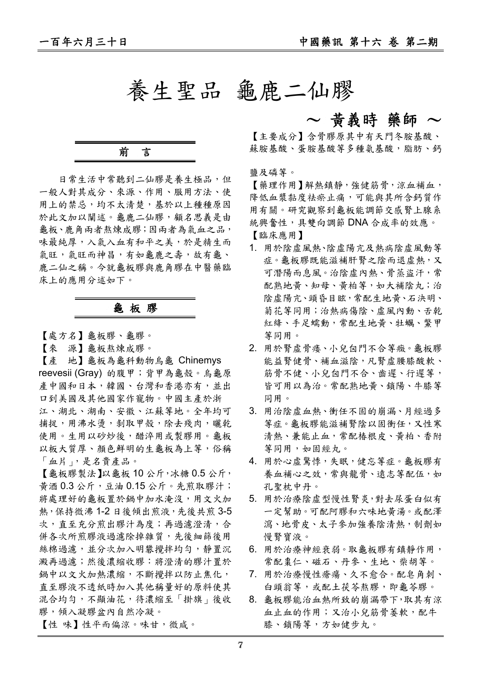養生聖品 龜鹿二仙膠

## $\sim$  黄義時 藥師  $\sim$

【主要成分】含骨膠原其中有天門冬胺基酸、 蘇胺基酸、蛋胺基酸等多種氨基酸,脂肪、鈣

鹽及磷等。

【藥理作用】解熱鎮靜,強健筋骨,涼血補血, 降低血漿黏度祛瘀止痛,可能與其所含鈣質作 用有關。研究觀察到龜板能調節交感腎上腺系 統興奮性,具雙向調節 DNA 合成率的效應。

【臨床應用】

- 1. 用於陰虛風熱、陰虛陽亢及熱病陰虛風動等 症。龜板膠既能滋補肝腎之陰而退虛熱,又 可潛陽而息風。治陰虛內熱、骨蒸盜汗,常 配熟地黃、知母、黃柏等,如大補陰丸;治 陰虛陽亢、頭昏目眩,常配生地黃、石決明、 菊花等同用;治熱病傷陰、虛風內動、舌乾 紅絳、手足蠕動,常配生地黃、牡蠣、鱉甲 等同用。
- 2. 用於腎虛骨痿、小兒囟門不合等癥。龜板膠 能益腎健骨、補血滋陰,凡腎虚腰膝酸軟、 筋骨不健、小兒囟門不合、齒遲、行遲等, 皆可用以為治。常配熟地黃、鎖陽、牛膝等 同用。
- 3. 用治陰虛血熱、衝任不固的崩漏、月經過多 等症。龜板膠能滋補腎陰以固衝任,又性寒 清熱、兼能止血,常配椿根皮、黄柏、香附 等同用,如固經丸。
- 4. 用於心虛驚悸,失眠,健忘等症。龜板膠有 養血補心之效,常與龍骨、遠志等配伍,如 孔聖枕中丹。
- 5. 用於治療陰虛型慢性腎炎,對去尿蛋白似有 一定幫助。可配阿膠和六味地黃湯。或配澤 瀉、地骨皮、太子參加強養陰清熱,制劑如 慢腎寶液。
- 6. 用於治療神經衰弱。取龜板膠有鎮靜作用, 常配棗仁、磁石、丹參、生地、柴胡等。
- 7. 用於治療慢性瘡瘍、久不愈合。配皂角刺、 白頭翁等,或配土茯苓熬膠,即龜苓膠。
- 8. 龜板膠能治血熱所致的崩漏帶下,取其有涼 血止血的作用;又治小兒筋骨萎軟,配牛 膝、鎖陽等,方如健步丸。

前言

日常生活中常聽到二仙膠是養生極品,但 一般人對其成分、來源、作用、服用方法、使 用上的禁忌,均不太清楚,基於以上種種原因 於此文加以闡述。龜鹿二仙膠,顧名思義是由 龜板、鹿角兩者熬煉成膠;因兩者為氣血之品, 味最純厚,入氣入血有和平之美,於是精生而 氣旺,氣旺而神昌,有如龜鹿之壽,故有龜、 鹿二仙之稱。今就龜板膠與鹿角膠在中醫藥臨 床上的應用分述如下。

### 龜 板 膠

【處方名】龜板膠、龜膠。

【來 源】龜板熬煉成膠。

【產 地】龜板為龜科動物烏龜 Chinemys reevesii (Gray) 的腹甲;背甲為龜殼。烏龜原 產中國和日本,韓國、台灣和香港亦有,並出 口到美國及其他國家作寵物。中國主產於浙 江、湖北、湖南、安徽、江蘇等地。全年均可 捕捉,用沸水燙,剝取甲殼,除去殘肉,曬乾 使用。生用以砂炒後,醋淬用或製膠用。龜板 以板大質厚、顏色鮮明的生龜板為上等,俗稱 「血片」,是名貴產品。

【龜板膠製法】以龜板 10 公斤,冰糖 0.5 公斤, 黃酒 0.3 公斤,豆油 0.15 公斤。先煎取膠汁; 將處理好的龜板置於鍋中加水淹沒,用文火加 熱,保持微沸1-2日後傾出煎液,先後共煎3-5 次,直至充分煎出膠汁為度;再過濾澄清,合 併各次所煎膠液過濾除掉雜質,先後細篩後用 **絲棉過濾,並分次加入明礬攪拌均勻,靜置沉** 澱再過濾;然後濃縮收膠:將澄清的膠汁置於 鍋中以文火加熱濃縮,不斷攪拌以防止焦化, 直至膠液不透紙時加入其他稱量好的原料使其 混合均勻,不顯油花,待濃縮至「掛旗」後收 膠,傾入凝膠盆內自然冷凝。

【性 味】性平而偏涼。味甘,微咸。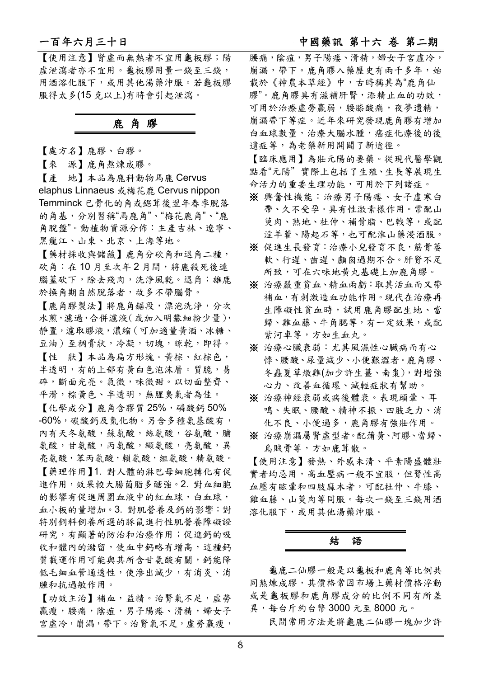【使用注意】腎虛而無熱者不宜用龜板膠;陽 虛泄瀉者亦不宜用。龜板膠用量一錢至三錢, 用酒溶化服下,或用其他湯藥沖服。若龜板膠 服得太多(15 克以上)有時會引起泄瀉。

### 鹿 角 膠

【處方名】鹿膠、白膠。

【來 源】鹿角熬煉成膠。

【產 地】本品為鹿科動物馬鹿 Cervus elaphus Linnaeus 或梅花鹿 Cervus nippon Temminck 已骨化的角或鋸茸後翌年春季脫落 的角基,分別習稱"馬鹿角"、"梅花鹿角"、"鹿 角脫盤"。動植物資源分佈:主產吉林、遼寧、 黑龍江、山東、北京、上海等地。

【藥材採收與儲藏】鹿角分砍角和退角二種, 砍角:在10月至次年2月間,將鹿殺死後連 腦蓋砍下,除去殘肉,洗淨風乾。退角:雄鹿 於換角期自然脫落者,故多不帶腦骨。

【鹿角膠製法】將鹿角鋸段,漂泡洗淨,分次 水煎,濾過,合併濾液(或加入明礬細粉少量), 靜置,濾取膠液,濃縮(可加適量黃酒、冰糖、 豆油)至稠膏狀,冷凝,切塊,晾乾,即得。 【性 狀】本品為扁方形塊。黃棕、紅棕色, 半透明,有的上部有黃白色泡沫層。質脆,易 碎,斷面光亮。氣微,味微甜。以切面整齊、 平滑,棕黃色、半透明,無腥臭氣者為佳。

【化學成分】鹿角含膠質 25%,磷酸鈣 50% -60%,碳酸鈣及氮化物。另含多種氨基酸有, 內有天冬氨酸,蘇氨酸,絲氨酸,谷氨酸,脯 氨酸,甘氨酸,丙氨酸,纈氨酸,亮氨酸,異 亮氨酸,苯丙氨酸,賴氨酸,組氨酸,精氨酸。 【藥理作用】1. 對人體的淋巴母細胞轉化有促 進作用,效果較大腸菌脂多醣強。2. 對血細胞 的影響有促進周圍血液中的紅血球,白血球, 血小板的量增加。3. 對肌營養及鈣的影響:對 特別飼料飼養所選的豚鼠進行性肌營養障礙證 研究,有顯著的防治和治療作用;促進鈣的吸 收和體內的瀦留,使血中鈣略有增高,這種鈣 質載運作用可能與其所含甘氨酸有關,鈣能降 低毛細血管通透性,使滲出減少,有消炎、消 腫和抗過敏作用。

【功效主治】補血,益精。治腎氣不足,虛勞 羸瘦,腰痛,陰疽,男子陽痿、滑精,婦女子 宮虛冷,崩漏,帶下。治腎氣不足,虚勞羸瘦, 腰痛,陰疽,男子陽痿、滑精,婦女子宮虚冷, 崩漏,帶下。鹿角膠入藥歷史有兩千多年,始 載於《神農本草經》中,古時稱其為"鹿角仙 膠"。鹿角膠具有滋補肝腎,添精止血的功效, 可用於治療虛勞羸弱,腰膝酸痛,夜夢遺精, 崩漏帶下等症。近年來研究發現鹿角膠有增加 白血球數量,治療大腦水腫,癌症化療後的後 遺症等,為老藥新用開闢了新途徑。

【臨床應用】為壯元陽的要藥。從現代醫學觀 點看"元陽"實際上包括了生殖、生長等展現生 命活力的重要生理功能,可用於下列諸症。

- ※ 興奮性機能:治療男子陽痿、女子虛寒白 帶、久不受孕。具有性激素樣作用。常配山 萸肉、熟地、杜仲、補骨脂、巴戟等,或配 淫羊藿、陽起石等,也可配淮山藥浸酒服。
- ※ 促進生長發育:治療小兒發育不良,筋骨萎 軟、行遲、齒遲、顱囪過期不合。肝腎不足 所致,可在六味地黃丸基礎上加鹿角膠。
- ※ 治療嚴重貧血、精血兩虧:取其活血而又帶 補血,有刺激造血功能作用。現代在治療再 生障礙性貧血時,試用鹿角膠配生地、當 歸、雞血藤、牛角腮等,有一定效果,或配 紫河車等,方如生血丸。
- ※ 治療心臟衰弱:尤其風濕性心臟病而有心 悸、腰酸、尿量減少、小便艱澀者。鹿角膠、 冬蟲夏草燉雞(加少許生薑、南棗),對增強 心力、改善血循環、減輕症狀有幫助。
- ※ 治療神經衰弱或病後體衰。表現頭暈、耳 鳴、失眠、腰酸、精神不振、四肢乏力、消 化不良、小便過多,鹿角膠有強壯作用。
- ※ 治療崩漏屬腎虚型者。配蒲黄、阿膠、當歸、 烏賊骨等,方如鹿茸散。

【使用注意】發熱、外感未清、平素陽盛體壯 實者均忌用,高血壓病一般不宜服,但腎性高 血壓有眩暈和四肢麻木者,可配杜仲、牛膝、 雞血藤、山萸肉等同服。每次一錢至三錢用酒 溶化服下,或用其他湯藥沖服。

## 結語

龜鹿二仙膠一般是以龜板和鹿角等比例共 同熬煉成膠,其價格常因市場上藥材價格浮動 或是龜板膠和鹿角膠成分的比例不同有所差 異,每台斤約台幣 3000 元至 8000 元。

民間常用方法是將龜鹿二仙膠一塊加少許